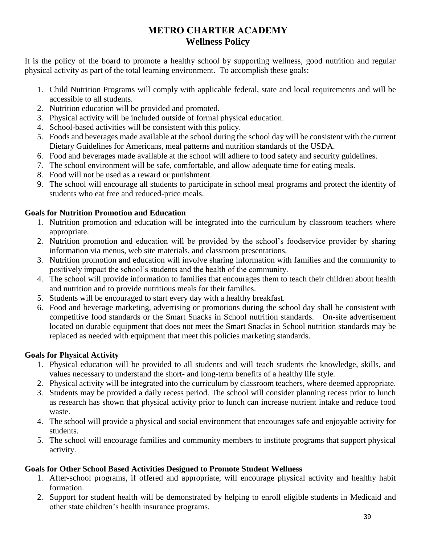# **METRO CHARTER ACADEMY Wellness Policy**

It is the policy of the board to promote a healthy school by supporting wellness, good nutrition and regular physical activity as part of the total learning environment. To accomplish these goals:

- 1. Child Nutrition Programs will comply with applicable federal, state and local requirements and will be accessible to all students.
- 2. Nutrition education will be provided and promoted.
- 3. Physical activity will be included outside of formal physical education.
- 4. School-based activities will be consistent with this policy.
- 5. Foods and beverages made available at the school during the school day will be consistent with the current Dietary Guidelines for Americans, meal patterns and nutrition standards of the USDA.
- 6. Food and beverages made available at the school will adhere to food safety and security guidelines.
- 7. The school environment will be safe, comfortable, and allow adequate time for eating meals.
- 8. Food will not be used as a reward or punishment.
- 9. The school will encourage all students to participate in school meal programs and protect the identity of students who eat free and reduced-price meals.

## **Goals for Nutrition Promotion and Education**

- 1. Nutrition promotion and education will be integrated into the curriculum by classroom teachers where appropriate.
- 2. Nutrition promotion and education will be provided by the school's foodservice provider by sharing information via menus, web site materials, and classroom presentations.
- 3. Nutrition promotion and education will involve sharing information with families and the community to positively impact the school's students and the health of the community.
- 4. The school will provide information to families that encourages them to teach their children about health and nutrition and to provide nutritious meals for their families.
- 5. Students will be encouraged to start every day with a healthy breakfast.
- 6. Food and beverage marketing, advertising or promotions during the school day shall be consistent with competitive food standards or the Smart Snacks in School nutrition standards. On-site advertisement located on durable equipment that does not meet the Smart Snacks in School nutrition standards may be replaced as needed with equipment that meet this policies marketing standards.

## **Goals for Physical Activity**

- 1. Physical education will be provided to all students and will teach students the knowledge, skills, and values necessary to understand the short- and long-term benefits of a healthy life style.
- 2. Physical activity will be integrated into the curriculum by classroom teachers, where deemed appropriate.
- 3. Students may be provided a daily recess period. The school will consider planning recess prior to lunch as research has shown that physical activity prior to lunch can increase nutrient intake and reduce food waste.
- 4. The school will provide a physical and social environment that encourages safe and enjoyable activity for students.
- 5. The school will encourage families and community members to institute programs that support physical activity.

### **Goals for Other School Based Activities Designed to Promote Student Wellness**

- 1. After-school programs, if offered and appropriate, will encourage physical activity and healthy habit formation.
- 2. Support for student health will be demonstrated by helping to enroll eligible students in Medicaid and other state children's health insurance programs.